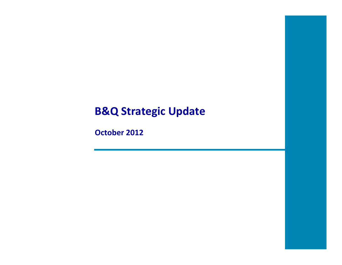## **B&Q Strategic Update**

**October 2012**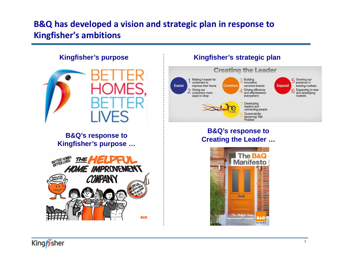### **B&Q has developed a vision and strategic plan in response to Kingfisher's ambitions**

#### **Kingfisher's purpose**



#### **B&Q's response to Kingfisher's purpose …**



#### **Kingfisher's strategic plan**



#### **B&Q's response to Creating the Leader …**



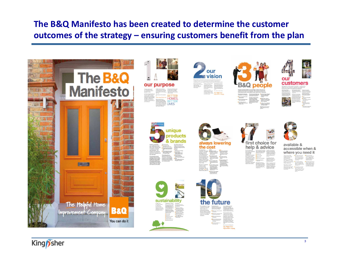### **The B&Q Manifesto has been created to determine the customer outcomes of the strategy – ensuring customers benefit from the plan**



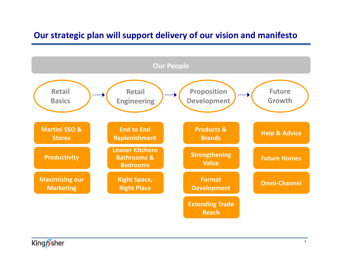### **Our strategic plan will support delivery of our vision and manifesto**



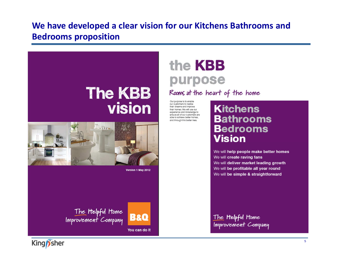### **We have developed a clear vision for our Kitchens Bathrooms and Bedrooms proposition**



# the **KBB** purpose

Rooms at the heart of the home

Our purpose is to enable our oustomars to realise thair dreams and improve thair homes. We will use our experience and knowledge to ensure all of our customers are able to achieve better homes, and through this better lives.

### **Kitchens Bathrooms Bedrooms Vision**

We will help people make better homes We will create raving fans We will deliver market leading growth We will be profitable all year round We will be simple & straightforward

The Helpful Home Improvement Company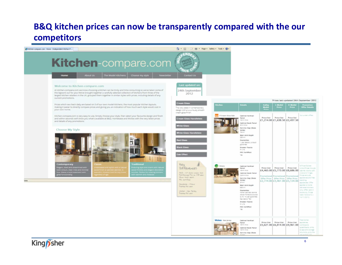### **B&Q kitchen prices can now be transparently compared with the our competitors**



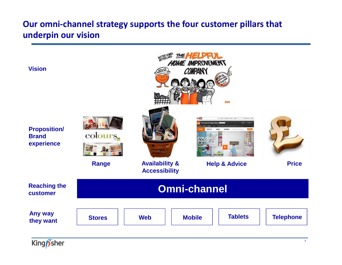### **Our omni-channel strategy supports the four customer pillars that underpin our vision**

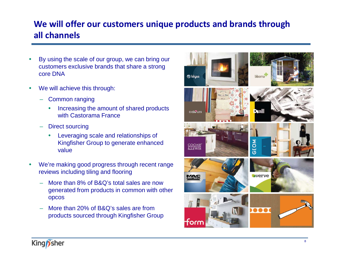### **We will offer our customers unique products and brands through all channels**

- • By using the scale of our group, we can bring our customers exclusive brands that share a strong core DNA
- $\bullet$  We will achieve this through:
	- Common ranging
		- • Increasing the amount of shared products with Castorama France
	- Direct sourcing
		- • Leveraging scale and relationships of Kingfisher Group to generate enhanced value
- • We're making good progress through recent range reviews including tiling and flooring
	- More than 8% of B&Q's total sales are now generated from products in common with other opcos
	- More than 20% of B&Q's sales are from products sourced through Kingfisher Group